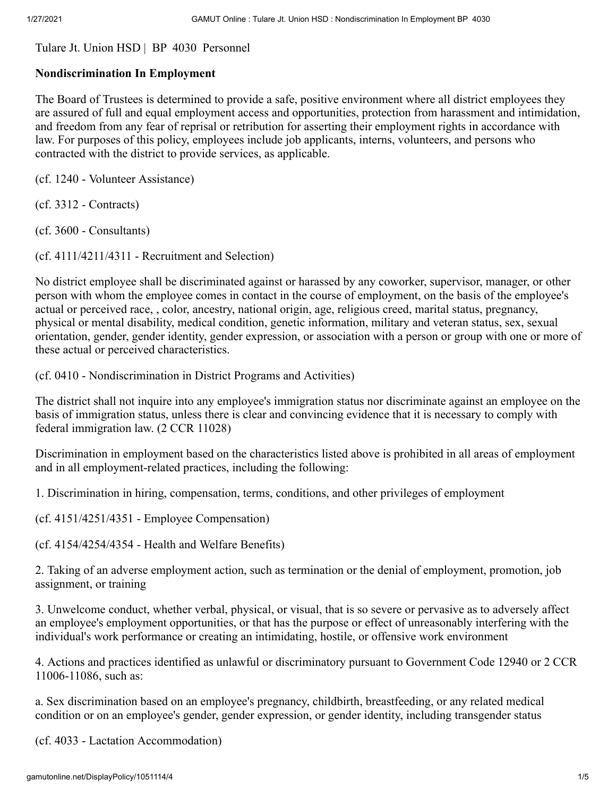[Tulare Jt. Union HSD](http://gamutonline.net/LoadDistrictPolicy/2330) | BP 4030 Personnel

## **Nondiscrimination In Employment**

The Board of Trustees is determined to provide a safe, positive environment where all district employees they are assured of full and equal employment access and opportunities, protection from harassment and intimidation, and freedom from any fear of reprisal or retribution for asserting their employment rights in accordance with law. For purposes of this policy, employees include job applicants, interns, volunteers, and persons who contracted with the district to provide services, as applicable.

(cf. [1240](http://gamutonline.net/displayPolicy/574868/4) - Volunteer Assistance)

(cf. [3312](http://gamutonline.net/displayPolicy/574916/4) - Contracts)

(cf. [3600](http://gamutonline.net/displayPolicy/574987/4) - Consultants)

(cf. [4111/](http://gamutonline.net/displayPolicy/574997/4)[4211](http://gamutonline.net/displayPolicy/574998/4)/[4311](http://gamutonline.net/displayPolicy/574999/4) - Recruitment and Selection)

No district employee shall be discriminated against or harassed by any coworker, supervisor, manager, or other person with whom the employee comes in contact in the course of employment, on the basis of the employee's actual or perceived race, , color, ancestry, national origin, age, religious creed, marital status, pregnancy, physical or mental disability, medical condition, genetic information, military and veteran status, sex, sexual orientation, gender, gender identity, gender expression, or association with a person or group with one or more of these actual or perceived characteristics.

(cf. [0410](http://gamutonline.net/displayPolicy/574836/4) - Nondiscrimination in District Programs and Activities)

The district shall not inquire into any employee's immigration status nor discriminate against an employee on the basis of immigration status, unless there is clear and convincing evidence that it is necessary to comply with federal immigration law. (2 CCR 11028)

Discrimination in employment based on the characteristics listed above is prohibited in all areas of employment and in all employment-related practices, including the following:

1. Discrimination in hiring, compensation, terms, conditions, and other privileges of employment

(cf. [4151](http://gamutonline.net/displayPolicy/1078103/4)/[4251/](http://gamutonline.net/displayPolicy/1078104/4)[4351](http://gamutonline.net/displayPolicy/1078105/4) - Employee Compensation)

(cf. [4154](http://gamutonline.net/displayPolicy/575154/4)/[4254/](http://gamutonline.net/displayPolicy/575155/4)[4354](http://gamutonline.net/displayPolicy/575156/4) - Health and Welfare Benefits)

2. Taking of an adverse employment action, such as termination or the denial of employment, promotion, job assignment, or training

3. Unwelcome conduct, whether verbal, physical, or visual, that is so severe or pervasive as to adversely affect an employee's employment opportunities, or that has the purpose or effect of unreasonably interfering with the individual's work performance or creating an intimidating, hostile, or offensive work environment

4. Actions and practices identified as unlawful or discriminatory pursuant to Government Code [12940](http://gamutonline.net/displayPolicy/146260/4) or 2 CCR [11006](http://gamutonline.net/displayPolicy/979995/4)-11086, such as:

a. Sex discrimination based on an employee's pregnancy, childbirth, breastfeeding, or any related medical condition or on an employee's gender, gender expression, or gender identity, including transgender status

(cf. [4033](http://gamutonline.net/displayPolicy/726055/4) - Lactation Accommodation)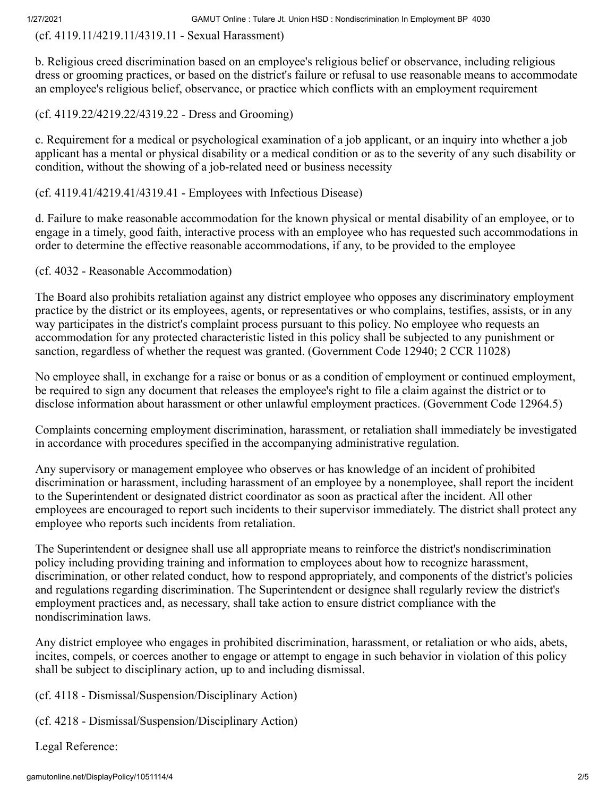(cf. [4119.11/](http://gamutonline.net/displayPolicy/1051117/4)[4219.11](http://gamutonline.net/displayPolicy/1051118/4)/[4319.11](http://gamutonline.net/displayPolicy/1051119/4) - Sexual Harassment)

b. Religious creed discrimination based on an employee's religious belief or observance, including religious dress or grooming practices, or based on the district's failure or refusal to use reasonable means to accommodate an employee's religious belief, observance, or practice which conflicts with an employment requirement

(cf. [4119.22](http://gamutonline.net/displayPolicy/575085/4)[/4219.22](http://gamutonline.net/displayPolicy/575086/4)[/4319.22](http://gamutonline.net/displayPolicy/575087/4) - Dress and Grooming)

c. Requirement for a medical or psychological examination of a job applicant, or an inquiry into whether a job applicant has a mental or physical disability or a medical condition or as to the severity of any such disability or condition, without the showing of a job-related need or business necessity

## (cf. [4119.41](http://gamutonline.net/displayPolicy/575097/4)[/4219.41](http://gamutonline.net/displayPolicy/575098/4)[/4319.41](http://gamutonline.net/displayPolicy/575099/4) - Employees with Infectious Disease)

d. Failure to make reasonable accommodation for the known physical or mental disability of an employee, or to engage in a timely, good faith, interactive process with an employee who has requested such accommodations in order to determine the effective reasonable accommodations, if any, to be provided to the employee

(cf. [4032](http://gamutonline.net/displayPolicy/1051116/4) - Reasonable Accommodation)

The Board also prohibits retaliation against any district employee who opposes any discriminatory employment practice by the district or its employees, agents, or representatives or who complains, testifies, assists, or in any way participates in the district's complaint process pursuant to this policy. No employee who requests an accommodation for any protected characteristic listed in this policy shall be subjected to any punishment or sanction, regardless of whether the request was granted. (Government Code [12940;](http://gamutonline.net/displayPolicy/146260/4) 2 CCR 11028)

No employee shall, in exchange for a raise or bonus or as a condition of employment or continued employment, be required to sign any document that releases the employee's right to file a claim against the district or to disclose information about harassment or other unlawful employment practices. (Government Code 12964.5)

Complaints concerning employment discrimination, harassment, or retaliation shall immediately be investigated in accordance with procedures specified in the accompanying administrative regulation.

Any supervisory or management employee who observes or has knowledge of an incident of prohibited discrimination or harassment, including harassment of an employee by a nonemployee, shall report the incident to the Superintendent or designated district coordinator as soon as practical after the incident. All other employees are encouraged to report such incidents to their supervisor immediately. The district shall protect any employee who reports such incidents from retaliation.

The Superintendent or designee shall use all appropriate means to reinforce the district's nondiscrimination policy including providing training and information to employees about how to recognize harassment, discrimination, or other related conduct, how to respond appropriately, and components of the district's policies and regulations regarding discrimination. The Superintendent or designee shall regularly review the district's employment practices and, as necessary, shall take action to ensure district compliance with the nondiscrimination laws.

Any district employee who engages in prohibited discrimination, harassment, or retaliation or who aids, abets, incites, compels, or coerces another to engage or attempt to engage in such behavior in violation of this policy shall be subject to disciplinary action, up to and including dismissal.

(cf. [4118](http://gamutonline.net/displayPolicy/575069/4) - Dismissal/Suspension/Disciplinary Action)

(cf. [4218](http://gamutonline.net/displayPolicy/575192/4) - Dismissal/Suspension/Disciplinary Action)

Legal Reference: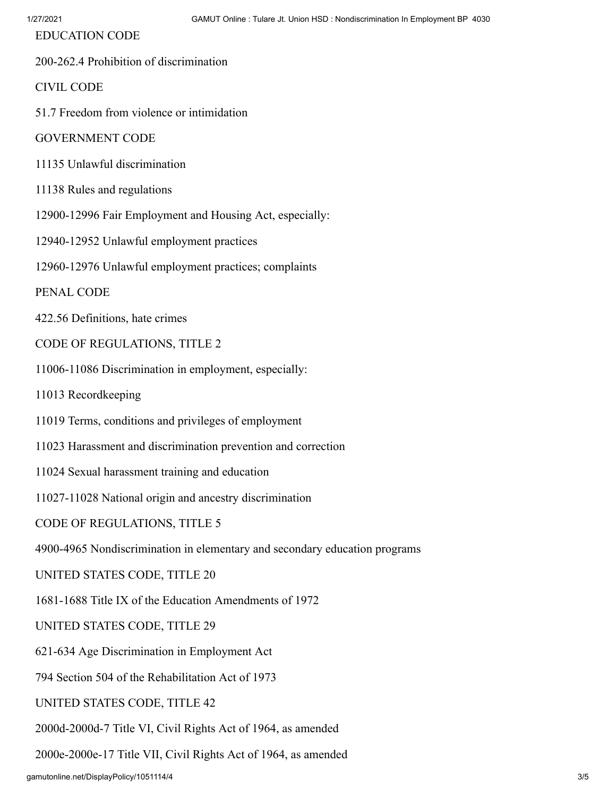EDUCATION CODE

200-262.4 Prohibition of discrimination

CIVIL CODE

51.7 Freedom from violence or intimidation

GOVERNMENT CODE

- 11135 Unlawful discrimination
- 11138 Rules and regulations
- 12900-12996 Fair Employment and Housing Act, especially:
- 12940-12952 Unlawful employment practices
- 12960-12976 Unlawful employment practices; complaints

PENAL CODE

- 422.56 Definitions, hate crimes
- CODE OF REGULATIONS, TITLE 2

11006-11086 Discrimination in employment, especially:

11013 Recordkeeping

- 11019 Terms, conditions and privileges of employment
- 11023 Harassment and discrimination prevention and correction
- 11024 Sexual harassment training and education
- 11027-11028 National origin and ancestry discrimination

CODE OF REGULATIONS, TITLE 5

4900-4965 Nondiscrimination in elementary and secondary education programs

UNITED STATES CODE, TITLE 20

1681-1688 Title IX of the Education Amendments of 1972

UNITED STATES CODE, TITLE 29

621-634 Age Discrimination in Employment Act

794 Section 504 of the Rehabilitation Act of 1973

UNITED STATES CODE, TITLE 42

2000d-2000d-7 Title VI, Civil Rights Act of 1964, as amended

2000e-2000e-17 Title VII, Civil Rights Act of 1964, as amended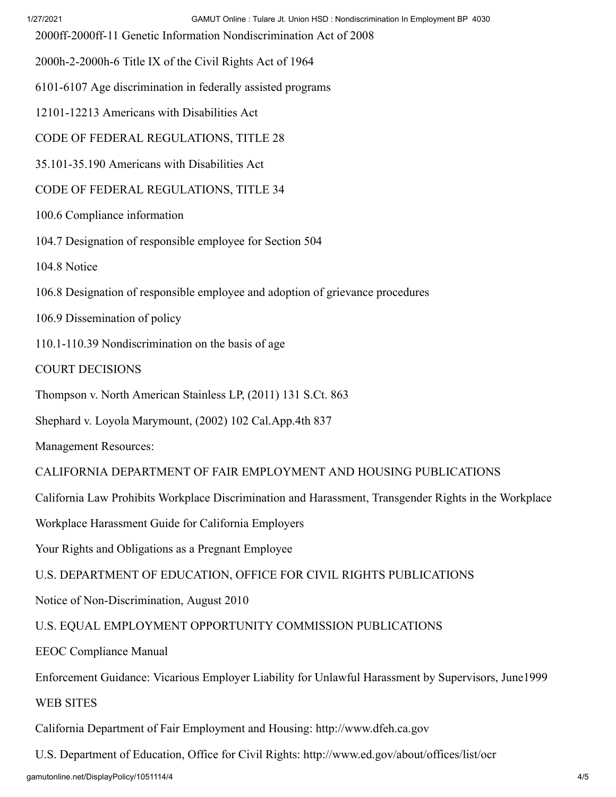2000ff-2000ff-11 Genetic Information Nondiscrimination Act of 2008

2000h-2-2000h-6 Title IX of the Civil Rights Act of 1964

6101-6107 Age discrimination in federally assisted programs

12101-12213 Americans with Disabilities Act

CODE OF FEDERAL REGULATIONS, TITLE 28

35.101-35.190 Americans with Disabilities Act

CODE OF FEDERAL REGULATIONS, TITLE 34

100.6 Compliance information

104.7 Designation of responsible employee for Section 504

104.8 Notice

106.8 Designation of responsible employee and adoption of grievance procedures

106.9 Dissemination of policy

110.1-110.39 Nondiscrimination on the basis of age

COURT DECISIONS

Thompson v. North American Stainless LP, (2011) 131 S.Ct. 863

Shephard v. Loyola Marymount, (2002) 102 Cal.App.4th 837

Management Resources:

CALIFORNIA DEPARTMENT OF FAIR EMPLOYMENT AND HOUSING PUBLICATIONS

California Law Prohibits Workplace Discrimination and Harassment, Transgender Rights in the Workplace

Workplace Harassment Guide for California Employers

Your Rights and Obligations as a Pregnant Employee

U.S. DEPARTMENT OF EDUCATION, OFFICE FOR CIVIL RIGHTS PUBLICATIONS

Notice of Non-Discrimination, August 2010

U.S. EQUAL EMPLOYMENT OPPORTUNITY COMMISSION PUBLICATIONS

EEOC Compliance Manual

Enforcement Guidance: Vicarious Employer Liability for Unlawful Harassment by Supervisors, June1999

WEB SITES

California Department of Fair Employment and Housing: [http://www.dfeh.ca.gov](http://www.dfeh.ca.gov/)

U.S. Department of Education, Office for Civil Rights: <http://www.ed.gov/about/offices/list/ocr>